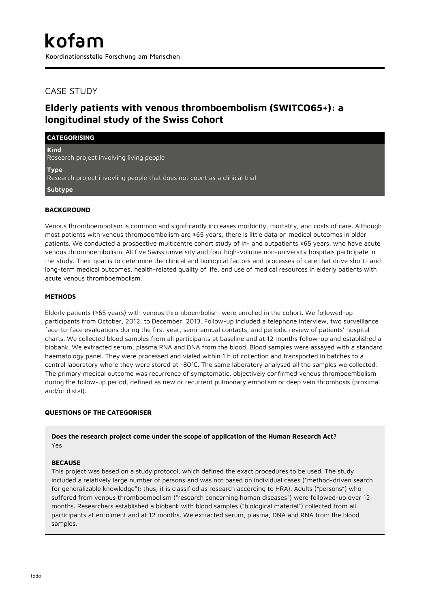## CASE STUDY

# **Elderly patients with venous thromboembolism (SWITCO65+): a longitudinal study of the Swiss Cohort**

| <b>CATEGORISING</b>                                                                      |
|------------------------------------------------------------------------------------------|
| <b>Kind</b><br>Research project involving living people                                  |
| <b>Type</b><br>Research project invovling people that does not count as a clinical trial |
| Subtype                                                                                  |
|                                                                                          |

#### **BACKGROUND**

Venous thromboembolism is common and significantly increases morbidity, mortality, and costs of care. Although most patients with venous thromboembolism are ≥65 years, there is little data on medical outcomes in older patients. We conducted a prospective multicentre cohort study of in- and outpatients ≥65 years, who have acute venous thromboembolism. All five Swiss university and four high-volume non-university hospitals participate in the study. Their goal is to determine the clinical and biological factors and processes of care that drive short- and long-term medical outcomes, health-related quality of life, and use of medical resources in elderly patients with acute venous thromboembolism.

#### **METHODS**

Elderly patients (≥65 years) with venous thromboembolism were enrolled in the cohort. We followed-up participants from October, 2012, to December, 2013. Follow-up included a telephone interview, two surveillance face-to-face evaluations during the first year, semi-annual contacts, and periodic review of patients' hospital charts. We collected blood samples from all participants at baseline and at 12 months follow-up and established a biobank. We extracted serum, plasma RNA and DNA from the blood. Blood samples were assayed with a standard haematology panel. They were processed and vialed within 1 h of collection and transported in batches to a central laboratory where they were stored at -80°C. The same laboratory analysed all the samples we collected. The primary medical outcome was recurrence of symptomatic, objectively confirmed venous thromboembolism during the follow-up period, defined as new or recurrent pulmonary embolism or deep vein thrombosis (proximal and/or distal).

#### **QUESTIONS OF THE CATEGORISER**

#### **Does the research project come under the scope of application of the Human Research Act?** Yes

#### **BECAUSE**

This project was based on a study protocol, which defined the exact procedures to be used. The study included a relatively large number of persons and was not based on individual cases ("method-driven search for generalizable knowledge"); thus, it is classified as research according to HRA). Adults ("persons") who suffered from venous thromboembolism ("research concerning human diseases") were followed-up over 12 months. Researchers established a biobank with blood samples ("biological material") collected from all participants at enrolment and at 12 months. We extracted serum, plasma, DNA and RNA from the blood samples.